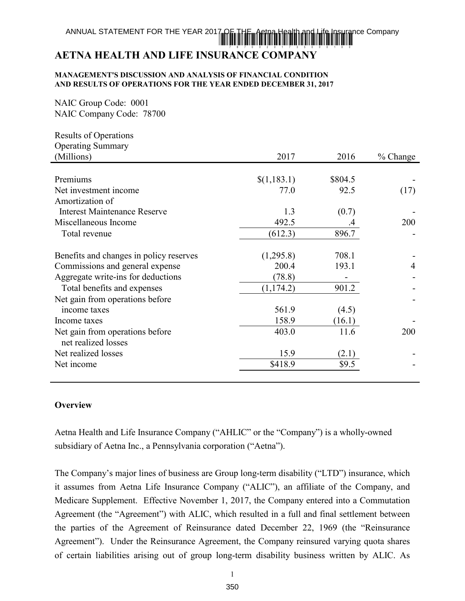# ANNUAL STATEMENT FOR THE YEAR 2017 OF THE THE THE STATEMENT AND REALLY AND LOCAL THE MAGNETIC AND AN AMERICA H \*78700201735000100

# **AETNA HEALTH AND LIFE INSURANCE COMPANY**

#### **MANAGEMENT'S DISCUSSION AND ANALYSIS OF FINANCIAL CONDITION AND RESULTS OF OPERATIONS FOR THE YEAR ENDED DECEMBER 31, 2017**

NAIC Group Code: 0001 NAIC Company Code: 78700

| <b>Results of Operations</b>                           |             |         |                |
|--------------------------------------------------------|-------------|---------|----------------|
| <b>Operating Summary</b>                               |             |         |                |
| (Millions)                                             | 2017        | 2016    | $%$ Change     |
|                                                        |             |         |                |
| Premiums                                               | \$(1,183.1) | \$804.5 |                |
| Net investment income                                  | 77.0        | 92.5    | (17)           |
| Amortization of                                        |             |         |                |
| <b>Interest Maintenance Reserve</b>                    | 1.3         | (0.7)   |                |
| Miscellaneous Income                                   | 492.5       |         | 200            |
| Total revenue                                          | (612.3)     | 896.7   |                |
| Benefits and changes in policy reserves                | (1,295.8)   | 708.1   |                |
| Commissions and general expense                        | 200.4       | 193.1   | $\overline{4}$ |
| Aggregate write-ins for deductions                     | (78.8)      |         |                |
| Total benefits and expenses                            | (1, 174.2)  | 901.2   |                |
| Net gain from operations before                        |             |         |                |
| income taxes                                           | 561.9       | (4.5)   |                |
| Income taxes                                           | 158.9       | (16.1)  |                |
| Net gain from operations before<br>net realized losses | 403.0       | 11.6    | 200            |
| Net realized losses                                    | 15.9        | (2.1)   |                |
| Net income                                             | \$418.9     | \$9.5   |                |
|                                                        |             |         |                |

# **Overview**

Aetna Health and Life Insurance Company ("AHLIC" or the "Company") is a wholly-owned subsidiary of Aetna Inc., a Pennsylvania corporation ("Aetna").

The Company's major lines of business are Group long-term disability ("LTD") insurance, which it assumes from Aetna Life Insurance Company ("ALIC"), an affiliate of the Company, and Medicare Supplement. Effective November 1, 2017, the Company entered into a Commutation Agreement (the "Agreement") with ALIC, which resulted in a full and final settlement between the parties of the Agreement of Reinsurance dated December 22, 1969 (the "Reinsurance Agreement"). Under the Reinsurance Agreement, the Company reinsured varying quota shares of certain liabilities arising out of group long-term disability business written by ALIC. As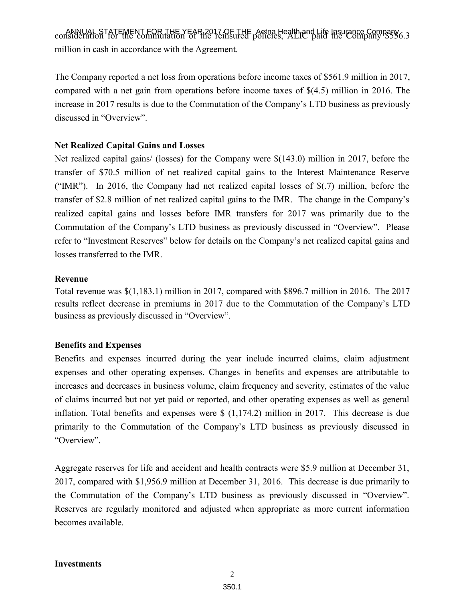ANNUAL STATEMENT FOR THE YEAR 2017 OF THE Aetna Health and Life Insurance Company consideration for the commutation of the reinsured policies, ALIC paid the Company \$556.3 million in cash in accordance with the Agreement.

The Company reported a net loss from operations before income taxes of \$561.9 million in 2017, compared with a net gain from operations before income taxes of \$(4.5) million in 2016. The increase in 2017 results is due to the Commutation of the Company's LTD business as previously discussed in "Overview".

# **Net Realized Capital Gains and Losses**

Net realized capital gains/ (losses) for the Company were \$(143.0) million in 2017, before the transfer of \$70.5 million of net realized capital gains to the Interest Maintenance Reserve ("IMR"). In 2016, the Company had net realized capital losses of \$(.7) million, before the transfer of \$2.8 million of net realized capital gains to the IMR. The change in the Company's realized capital gains and losses before IMR transfers for 2017 was primarily due to the Commutation of the Company's LTD business as previously discussed in "Overview". Please refer to "Investment Reserves" below for details on the Company's net realized capital gains and losses transferred to the IMR.

### **Revenue**

Total revenue was \$(1,183.1) million in 2017, compared with \$896.7 million in 2016. The 2017 results reflect decrease in premiums in 2017 due to the Commutation of the Company's LTD business as previously discussed in "Overview".

### **Benefits and Expenses**

Benefits and expenses incurred during the year include incurred claims, claim adjustment expenses and other operating expenses. Changes in benefits and expenses are attributable to increases and decreases in business volume, claim frequency and severity, estimates of the value of claims incurred but not yet paid or reported, and other operating expenses as well as general inflation. Total benefits and expenses were \$ (1,174.2) million in 2017. This decrease is due primarily to the Commutation of the Company's LTD business as previously discussed in "Overview".

Aggregate reserves for life and accident and health contracts were \$5.9 million at December 31, 2017, compared with \$1,956.9 million at December 31, 2016. This decrease is due primarily to the Commutation of the Company's LTD business as previously discussed in "Overview". Reserves are regularly monitored and adjusted when appropriate as more current information becomes available.

#### **Investments**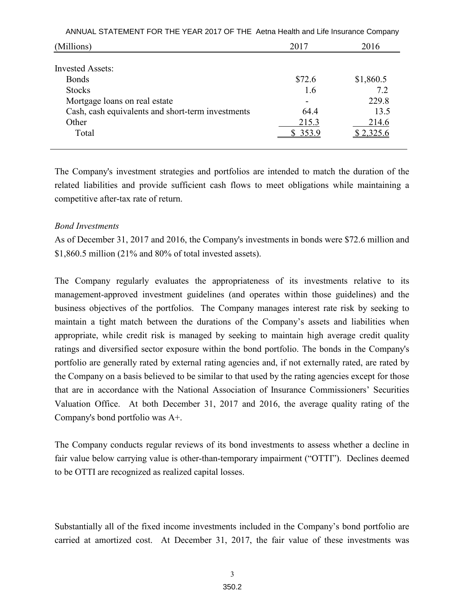| ANNUAL STATEMENT FOR THE YEAR 2017 OF THE Aetna Health and Life Insurance Company |        |           |  |  |
|-----------------------------------------------------------------------------------|--------|-----------|--|--|
| (Millions)                                                                        | 2017   | 2016      |  |  |
| <b>Invested Assets:</b>                                                           |        |           |  |  |
| <b>Bonds</b>                                                                      | \$72.6 | \$1,860.5 |  |  |
| <b>Stocks</b>                                                                     | 1.6    | 7.2       |  |  |
| Mortgage loans on real estate                                                     |        | 229.8     |  |  |
| Cash, cash equivalents and short-term investments                                 | 64.4   | 13.5      |  |  |
| Other                                                                             | 215.3  | 214.6     |  |  |
| Total                                                                             | 353.9  |           |  |  |
|                                                                                   |        |           |  |  |

The Company's investment strategies and portfolios are intended to match the duration of the related liabilities and provide sufficient cash flows to meet obligations while maintaining a competitive after-tax rate of return.

#### *Bond Investments*

As of December 31, 2017 and 2016, the Company's investments in bonds were \$72.6 million and \$1,860.5 million (21% and 80% of total invested assets).

The Company regularly evaluates the appropriateness of its investments relative to its management-approved investment guidelines (and operates within those guidelines) and the business objectives of the portfolios. The Company manages interest rate risk by seeking to maintain a tight match between the durations of the Company's assets and liabilities when appropriate, while credit risk is managed by seeking to maintain high average credit quality ratings and diversified sector exposure within the bond portfolio. The bonds in the Company's portfolio are generally rated by external rating agencies and, if not externally rated, are rated by the Company on a basis believed to be similar to that used by the rating agencies except for those that are in accordance with the National Association of Insurance Commissioners' Securities Valuation Office. At both December 31, 2017 and 2016, the average quality rating of the Company's bond portfolio was A+.

The Company conducts regular reviews of its bond investments to assess whether a decline in fair value below carrying value is other-than-temporary impairment ("OTTI"). Declines deemed to be OTTI are recognized as realized capital losses.

Substantially all of the fixed income investments included in the Company's bond portfolio are carried at amortized cost. At December 31, 2017, the fair value of these investments was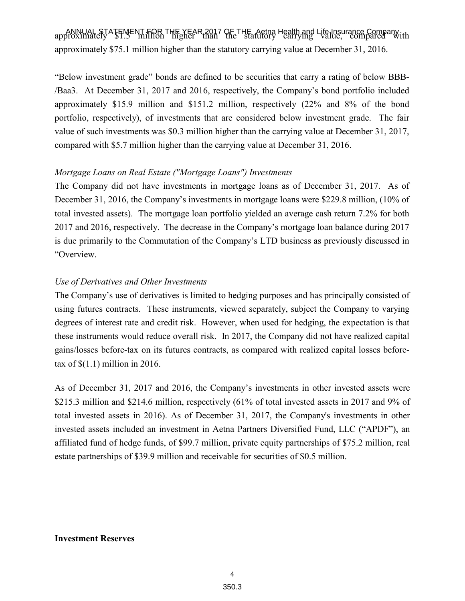ANNUAL STATEMENT FOR THE YEAR 2017 OF THE Aetna Health and Life Insurance Company approximately \$1.5 million higher than the statutory carrying value, compared with approximately \$75.1 million higher than the statutory carrying value at December 31, 2016.

"Below investment grade" bonds are defined to be securities that carry a rating of below BBB- /Baa3. At December 31, 2017 and 2016, respectively, the Company's bond portfolio included approximately \$15.9 million and \$151.2 million, respectively (22% and 8% of the bond portfolio, respectively), of investments that are considered below investment grade. The fair value of such investments was \$0.3 million higher than the carrying value at December 31, 2017, compared with \$5.7 million higher than the carrying value at December 31, 2016.

### *Mortgage Loans on Real Estate ("Mortgage Loans") Investments*

The Company did not have investments in mortgage loans as of December 31, 2017. As of December 31, 2016, the Company's investments in mortgage loans were \$229.8 million, (10% of total invested assets). The mortgage loan portfolio yielded an average cash return 7.2% for both 2017 and 2016, respectively. The decrease in the Company's mortgage loan balance during 2017 is due primarily to the Commutation of the Company's LTD business as previously discussed in "Overview.

#### *Use of Derivatives and Other Investments*

The Company's use of derivatives is limited to hedging purposes and has principally consisted of using futures contracts. These instruments, viewed separately, subject the Company to varying degrees of interest rate and credit risk. However, when used for hedging, the expectation is that these instruments would reduce overall risk. In 2017, the Company did not have realized capital gains/losses before-tax on its futures contracts, as compared with realized capital losses beforetax of  $$(1.1)$  million in 2016.

As of December 31, 2017 and 2016, the Company's investments in other invested assets were \$215.3 million and \$214.6 million, respectively (61% of total invested assets in 2017 and 9% of total invested assets in 2016). As of December 31, 2017, the Company's investments in other invested assets included an investment in Aetna Partners Diversified Fund, LLC ("APDF"), an affiliated fund of hedge funds, of \$99.7 million, private equity partnerships of \$75.2 million, real estate partnerships of \$39.9 million and receivable for securities of \$0.5 million.

#### **Investment Reserves**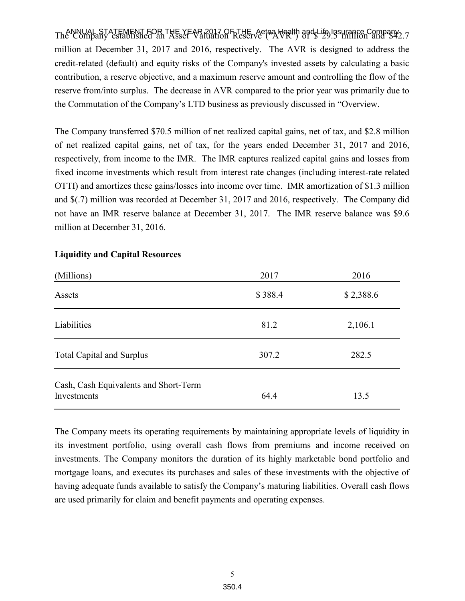ANNUAL STATEMENT FOR THE YEAR 2017 OF THE Aetna Health and Life Insurance Company The Company established an Asset Valuation Reserve ("AVR") of \$ 29.5 million and \$42.7 million at December 31, 2017 and 2016, respectively. The AVR is designed to address the credit-related (default) and equity risks of the Company's invested assets by calculating a basic contribution, a reserve objective, and a maximum reserve amount and controlling the flow of the reserve from/into surplus. The decrease in AVR compared to the prior year was primarily due to the Commutation of the Company's LTD business as previously discussed in "Overview.

The Company transferred \$70.5 million of net realized capital gains, net of tax, and \$2.8 million of net realized capital gains, net of tax, for the years ended December 31, 2017 and 2016, respectively, from income to the IMR. The IMR captures realized capital gains and losses from fixed income investments which result from interest rate changes (including interest-rate related OTTI) and amortizes these gains/losses into income over time. IMR amortization of \$1.3 million and \$(.7) million was recorded at December 31, 2017 and 2016, respectively. The Company did not have an IMR reserve balance at December 31, 2017. The IMR reserve balance was \$9.6 million at December 31, 2016.

| (Millions)                                           | 2017    | 2016      |
|------------------------------------------------------|---------|-----------|
| Assets                                               | \$388.4 | \$2,388.6 |
| Liabilities                                          | 81.2    | 2,106.1   |
| <b>Total Capital and Surplus</b>                     | 307.2   | 282.5     |
| Cash, Cash Equivalents and Short-Term<br>Investments | 64.4    | 13.5      |

# **Liquidity and Capital Resources**

The Company meets its operating requirements by maintaining appropriate levels of liquidity in its investment portfolio, using overall cash flows from premiums and income received on investments. The Company monitors the duration of its highly marketable bond portfolio and mortgage loans, and executes its purchases and sales of these investments with the objective of having adequate funds available to satisfy the Company's maturing liabilities. Overall cash flows are used primarily for claim and benefit payments and operating expenses.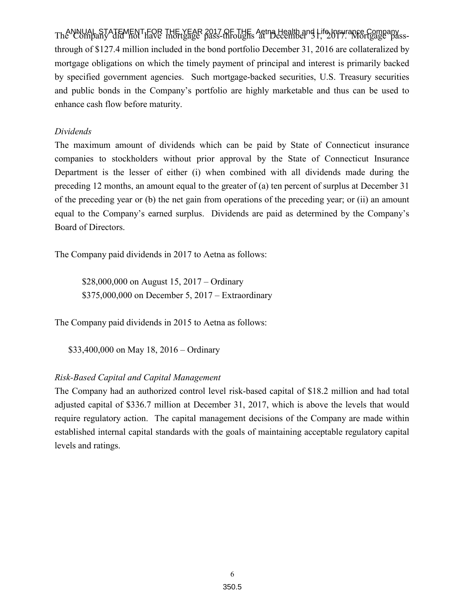ANNUAL STATEMENT FOR THE YEAR 2017 OF THE Aetna Health and Life Insurance Company The Company did not have mortgage pass-throughs at December 31, 2017. Mortgage passthrough of \$127.4 million included in the bond portfolio December 31, 2016 are collateralized by mortgage obligations on which the timely payment of principal and interest is primarily backed by specified government agencies. Such mortgage-backed securities, U.S. Treasury securities and public bonds in the Company's portfolio are highly marketable and thus can be used to enhance cash flow before maturity.

## *Dividends*

The maximum amount of dividends which can be paid by State of Connecticut insurance companies to stockholders without prior approval by the State of Connecticut Insurance Department is the lesser of either (i) when combined with all dividends made during the preceding 12 months, an amount equal to the greater of (a) ten percent of surplus at December 31 of the preceding year or (b) the net gain from operations of the preceding year; or (ii) an amount equal to the Company's earned surplus. Dividends are paid as determined by the Company's Board of Directors.

The Company paid dividends in 2017 to Aetna as follows:

 \$28,000,000 on August 15, 2017 – Ordinary \$375,000,000 on December 5, 2017 – Extraordinary

The Company paid dividends in 2015 to Aetna as follows:

\$33,400,000 on May 18, 2016 – Ordinary

# *Risk-Based Capital and Capital Management*

The Company had an authorized control level risk-based capital of \$18.2 million and had total adjusted capital of \$336.7 million at December 31, 2017, which is above the levels that would require regulatory action. The capital management decisions of the Company are made within established internal capital standards with the goals of maintaining acceptable regulatory capital levels and ratings.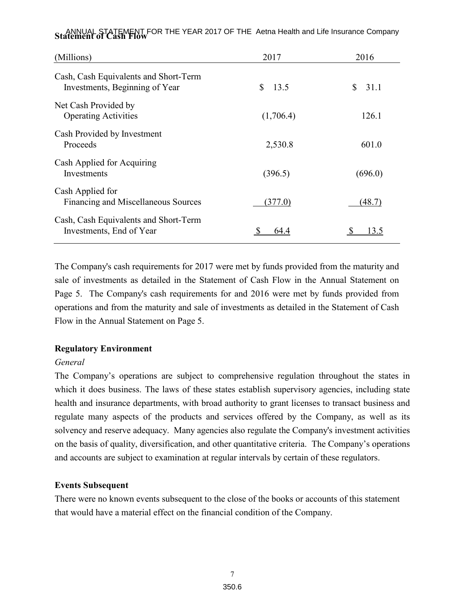| (Millions)                                                              | 2017      | 2016        |
|-------------------------------------------------------------------------|-----------|-------------|
| Cash, Cash Equivalents and Short-Term<br>Investments, Beginning of Year | S<br>13.5 | 31.1<br>\$. |
| Net Cash Provided by<br><b>Operating Activities</b>                     | (1,706.4) | 126.1       |
| Cash Provided by Investment<br>Proceeds                                 | 2,530.8   | 601.0       |
| Cash Applied for Acquiring<br>Investments                               | (396.5)   | (696.0)     |
| Cash Applied for<br>Financing and Miscellaneous Sources                 | (377.0)   | (48.7)      |
| Cash, Cash Equivalents and Short-Term<br>Investments, End of Year       | 644       | 3.5         |

ANNUAL STATEMENT FOR THE YEAR 2017 OF THE Aetna Health and Life Insurance Company **Statement of Cash Flow** 

The Company's cash requirements for 2017 were met by funds provided from the maturity and sale of investments as detailed in the Statement of Cash Flow in the Annual Statement on Page 5. The Company's cash requirements for and 2016 were met by funds provided from operations and from the maturity and sale of investments as detailed in the Statement of Cash Flow in the Annual Statement on Page 5.

### **Regulatory Environment**

### *General*

The Company's operations are subject to comprehensive regulation throughout the states in which it does business. The laws of these states establish supervisory agencies, including state health and insurance departments, with broad authority to grant licenses to transact business and regulate many aspects of the products and services offered by the Company, as well as its solvency and reserve adequacy. Many agencies also regulate the Company's investment activities on the basis of quality, diversification, and other quantitative criteria. The Company's operations and accounts are subject to examination at regular intervals by certain of these regulators.

### **Events Subsequent**

There were no known events subsequent to the close of the books or accounts of this statement that would have a material effect on the financial condition of the Company.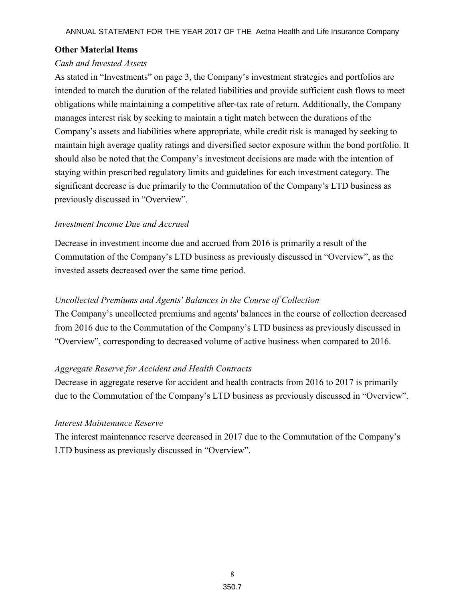### **Other Material Items**

# *Cash and Invested Assets*

As stated in "Investments" on page 3, the Company's investment strategies and portfolios are intended to match the duration of the related liabilities and provide sufficient cash flows to meet obligations while maintaining a competitive after-tax rate of return. Additionally, the Company manages interest risk by seeking to maintain a tight match between the durations of the Company's assets and liabilities where appropriate, while credit risk is managed by seeking to maintain high average quality ratings and diversified sector exposure within the bond portfolio. It should also be noted that the Company's investment decisions are made with the intention of staying within prescribed regulatory limits and guidelines for each investment category. The significant decrease is due primarily to the Commutation of the Company's LTD business as previously discussed in "Overview".

### *Investment Income Due and Accrued*

Decrease in investment income due and accrued from 2016 is primarily a result of the Commutation of the Company's LTD business as previously discussed in "Overview", as the invested assets decreased over the same time period.

#### *Uncollected Premiums and Agents' Balances in the Course of Collection*

The Company's uncollected premiums and agents' balances in the course of collection decreased from 2016 due to the Commutation of the Company's LTD business as previously discussed in "Overview", corresponding to decreased volume of active business when compared to 2016.

### *Aggregate Reserve for Accident and Health Contracts*

Decrease in aggregate reserve for accident and health contracts from 2016 to 2017 is primarily due to the Commutation of the Company's LTD business as previously discussed in "Overview".

#### *Interest Maintenance Reserve*

The interest maintenance reserve decreased in 2017 due to the Commutation of the Company's LTD business as previously discussed in "Overview".